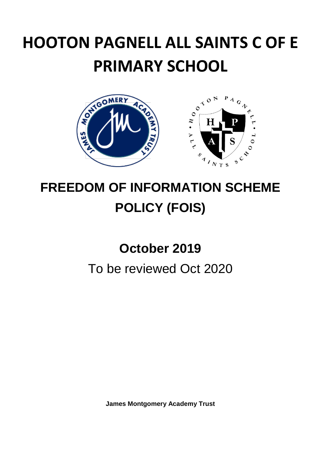# **HOOTON PAGNELL ALL SAINTS C OF E PRIMARY SCHOOL**



## **FREEDOM OF INFORMATION SCHEME POLICY (FOIS)**

## **October 2019**

### To be reviewed Oct 2020

**James Montgomery Academy Trust**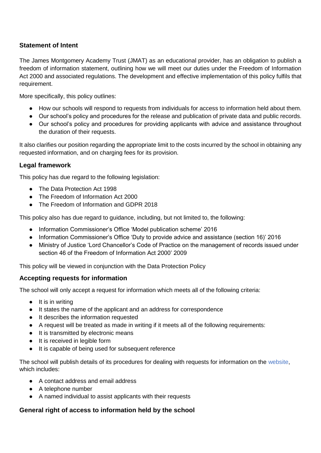#### **Statement of Intent**

The James Montgomery Academy Trust (JMAT) as an educational provider, has an obligation to publish a freedom of information statement, outlining how we will meet our duties under the Freedom of Information Act 2000 and associated regulations. The development and effective implementation of this policy fulfils that requirement.

More specifically, this policy outlines:

- How our schools will respond to requests from individuals for access to information held about them.
- Our school's policy and procedures for the release and publication of private data and public records.
- Our school's policy and procedures for providing applicants with advice and assistance throughout the duration of their requests.

It also clarifies our position regarding the appropriate limit to the costs incurred by the school in obtaining any requested information, and on charging fees for its provision.

#### **Legal framework**

This policy has due regard to the following legislation:

- The Data Protection Act 1998
- The Freedom of Information Act 2000
- The Freedom of Information and GDPR 2018

This policy also has due regard to guidance, including, but not limited to, the following:

- Information Commissioner's Office 'Model publication scheme' 2016
- Information Commissioner's Office 'Duty to provide advice and assistance (section 16)' 2016
- Ministry of Justice 'Lord Chancellor's Code of Practice on the management of records issued under section 46 of the Freedom of Information Act 2000' 2009

This policy will be viewed in conjunction with the Data Protection Policy

#### **Accepting requests for information**

The school will only accept a request for information which meets all of the following criteria:

- It is in writing
- It states the name of the applicant and an address for correspondence
- It describes the information requested
- A request will be treated as made in writing if it meets all of the following requirements:
- It is transmitted by electronic means
- It is received in legible form
- It is capable of being used for subsequent reference

The school will publish details of its procedures for dealing with requests for information on the website, which includes:

- A contact address and email address
- A telephone number
- A named individual to assist applicants with their requests

#### **General right of access to information held by the school**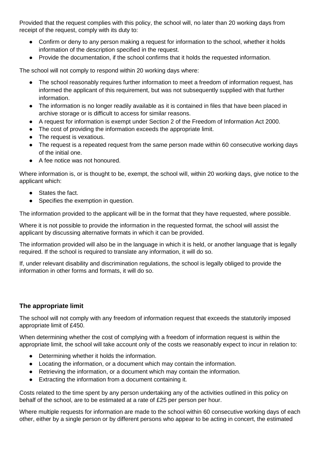Provided that the request complies with this policy, the school will, no later than 20 working days from receipt of the request, comply with its duty to:

- Confirm or deny to any person making a request for information to the school, whether it holds information of the description specified in the request.
- Provide the documentation, if the school confirms that it holds the requested information.

The school will not comply to respond within 20 working days where:

- The school reasonably requires further information to meet a freedom of information request, has informed the applicant of this requirement, but was not subsequently supplied with that further information.
- The information is no longer readily available as it is contained in files that have been placed in archive storage or is difficult to access for similar reasons.
- A request for information is exempt under Section 2 of the Freedom of Information Act 2000.
- The cost of providing the information exceeds the appropriate limit.
- The request is vexatious.
- The request is a repeated request from the same person made within 60 consecutive working days of the initial one.
- A fee notice was not honoured.

Where information is, or is thought to be, exempt, the school will, within 20 working days, give notice to the applicant which:

- States the fact.
- Specifies the exemption in question.

The information provided to the applicant will be in the format that they have requested, where possible.

Where it is not possible to provide the information in the requested format, the school will assist the applicant by discussing alternative formats in which it can be provided.

The information provided will also be in the language in which it is held, or another language that is legally required. If the school is required to translate any information, it will do so.

If, under relevant disability and discrimination regulations, the school is legally obliged to provide the information in other forms and formats, it will do so.

#### **The appropriate limit**

The school will not comply with any freedom of information request that exceeds the statutorily imposed appropriate limit of £450.

When determining whether the cost of complying with a freedom of information request is within the appropriate limit, the school will take account only of the costs we reasonably expect to incur in relation to:

- Determining whether it holds the information.
- Locating the information, or a document which may contain the information.
- Retrieving the information, or a document which may contain the information.
- Extracting the information from a document containing it.

Costs related to the time spent by any person undertaking any of the activities outlined in this policy on behalf of the school, are to be estimated at a rate of £25 per person per hour.

Where multiple requests for information are made to the school within 60 consecutive working days of each other, either by a single person or by different persons who appear to be acting in concert, the estimated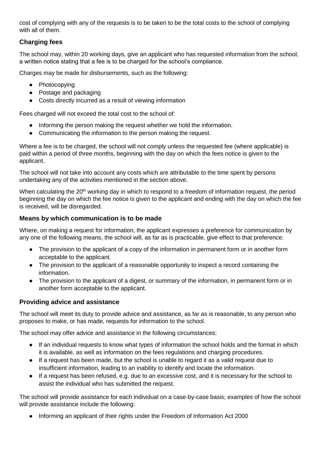cost of complying with any of the requests is to be taken to be the total costs to the school of complying with all of them.

#### **Charging fees**

The school may, within 20 working days, give an applicant who has requested information from the school, a written notice stating that a fee is to be charged for the school's compliance.

Charges may be made for disbursements, such as the following:

- Photocopying
- Postage and packaging
- Costs directly incurred as a result of viewing information

Fees charged will not exceed the total cost to the school of:

- Informing the person making the request whether we hold the information.
- Communicating the information to the person making the request.

Where a fee is to be charged, the school will not comply unless the requested fee (where applicable) is paid within a period of three months, beginning with the day on which the fees notice is given to the applicant.

The school will not take into account any costs which are attributable to the time spent by persons undertaking any of the activities mentioned in the section above.

When calculating the 20<sup>th</sup> working day in which to respond to a freedom of information request, the period beginning the day on which the fee notice is given to the applicant and ending with the day on which the fee is received, will be disregarded.

#### **Means by which communication is to be made**

Where, on making a request for information, the applicant expresses a preference for communication by any one of the following means, the school will, as far as is practicable, give effect to that preference:

- The provision to the applicant of a copy of the information in permanent form or in another form acceptable to the applicant.
- The provision to the applicant of a reasonable opportunity to inspect a record containing the information.
- The provision to the applicant of a digest, or summary of the information, in permanent form or in another form acceptable to the applicant.

#### **Providing advice and assistance**

The school will meet its duty to provide advice and assistance, as far as is reasonable, to any person who proposes to make, or has made, requests for information to the school.

The school may offer advice and assistance in the following circumstances:

- If an individual requests to know what types of information the school holds and the format in which it is available, as well as information on the fees regulations and charging procedures.
- If a request has been made, but the school is unable to regard it as a valid request due to insufficient information, leading to an inability to identify and locate the information.
- If a request has been refused, e.g. due to an excessive cost, and it is necessary for the school to assist the individual who has submitted the request.

The school will provide assistance for each individual on a case-by-case basis; examples of how the school will provide assistance include the following:

● Informing an applicant of their rights under the Freedom of Information Act 2000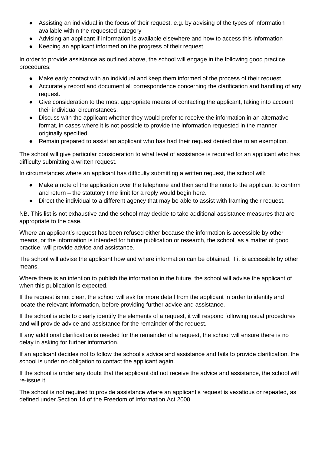- Assisting an individual in the focus of their request, e.g. by advising of the types of information available within the requested category
- Advising an applicant if information is available elsewhere and how to access this information
- Keeping an applicant informed on the progress of their request

In order to provide assistance as outlined above, the school will engage in the following good practice procedures:

- Make early contact with an individual and keep them informed of the process of their request.
- Accurately record and document all correspondence concerning the clarification and handling of any request.
- Give consideration to the most appropriate means of contacting the applicant, taking into account their individual circumstances.
- Discuss with the applicant whether they would prefer to receive the information in an alternative format, in cases where it is not possible to provide the information requested in the manner originally specified.
- Remain prepared to assist an applicant who has had their request denied due to an exemption.

The school will give particular consideration to what level of assistance is required for an applicant who has difficulty submitting a written request.

In circumstances where an applicant has difficulty submitting a written request, the school will:

- Make a note of the application over the telephone and then send the note to the applicant to confirm and return – the statutory time limit for a reply would begin here.
- Direct the individual to a different agency that may be able to assist with framing their request.

NB. This list is not exhaustive and the school may decide to take additional assistance measures that are appropriate to the case.

Where an applicant's request has been refused either because the information is accessible by other means, or the information is intended for future publication or research, the school, as a matter of good practice, will provide advice and assistance.

The school will advise the applicant how and where information can be obtained, if it is accessible by other means.

Where there is an intention to publish the information in the future, the school will advise the applicant of when this publication is expected.

If the request is not clear, the school will ask for more detail from the applicant in order to identify and locate the relevant information, before providing further advice and assistance.

If the school is able to clearly identify the elements of a request, it will respond following usual procedures and will provide advice and assistance for the remainder of the request.

If any additional clarification is needed for the remainder of a request, the school will ensure there is no delay in asking for further information.

If an applicant decides not to follow the school's advice and assistance and fails to provide clarification, the school is under no obligation to contact the applicant again.

If the school is under any doubt that the applicant did not receive the advice and assistance, the school will re-issue it.

The school is not required to provide assistance where an applicant's request is vexatious or repeated, as defined under Section 14 of the Freedom of Information Act 2000.